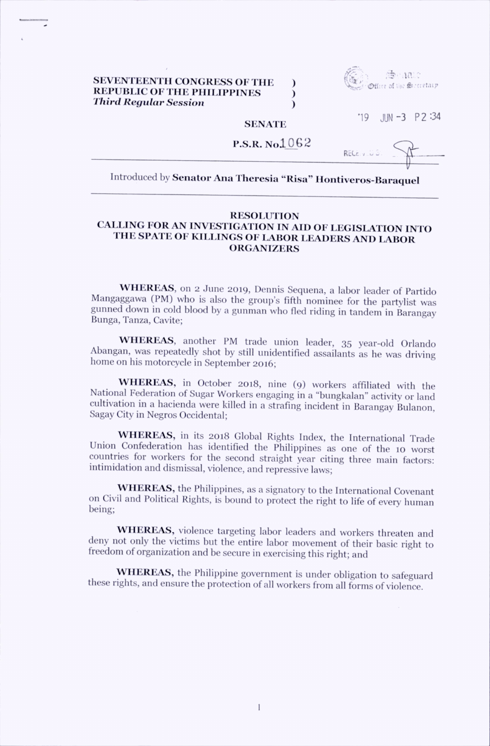## SEVENTEENTH CONGRESS OF THE REPUBLIC OF THE PHILIPPINES  $\qquad$ Third Regular Session (1996)



 $19$  JUN-3 P 2:34

## **SENATE**

 $P.S.R.$  No $1062$ 

 $\mathsf{REC}_\mathcal{C}$  (-c)  $\mathcal{C}$  .

## Introduced by Senator Ana Theresia "Risa" Hontiveros-Baraquel

## **RESOLUTION** CALLING FOR AN INVESTIGATION IN AID OF LEGISLATION INTO THE SPATE OF KILLINGS OF LABOR LEADERS AND LABOR **ORGANIZERS**

WHEREAS, on 2 June 2019, Dennis Sequena, a labor leader of Partido Mangaggawa (PM) who is also the group's fifth nominee for the partylist was gunned down in cold blood by a gunman who fled riding in tandem in Barangay Bunga, Tanza, Cavite;

WHEREAS, another PM trade union leader, 35 year-old Orlando Abangan, was repeatedly shot by still unidentified assailants as he was driving home on his motorcycle in September 2016;

WHEREAS, in October 2018, nine (9) workers affiliated with the National Federation of Sugar Workers engaging in a "bungkalan" activity or land cultivation in a hacienda were killed in a strafing incident in Barangay Bulanon, Sagay City in Negros Occidental;

WHEREAS, in its 2018 Global Rights Index, the International Trade Union Confederation has identified the Philippines as one of the 10 worst countries for workers for the second straight year citing three main factors: intimidation and dismissal, violence, and repressive laws;

WHEREAS, the Philippines, as a signatory to the International Covenant on Civil and Political Rights, is bound to protect the right to life of every human being;

WHEREAS, violence targeting labor leaders and workers threaten and deny not only the victims but the entire labor movement of their basic right to freedom of organization and be secure in exercising this right; and

WHEREAS, the Philippine government is under obligation to safeguard these rights, and ensure the protection of all workers from all forms of violence.